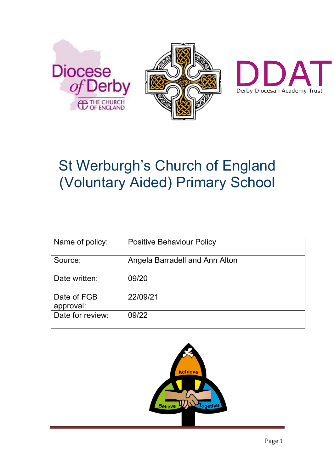



# St Werburgh's Church of England (Voluntary Aided) Primary School

| Name of policy:          | <b>Positive Behaviour Policy</b> |
|--------------------------|----------------------------------|
| Source:                  | Angela Barradell and Ann Alton   |
| Date written:            | 09/20                            |
| Date of FGB<br>approval: | 22/09/21                         |
| Date for review:         | 09/22                            |

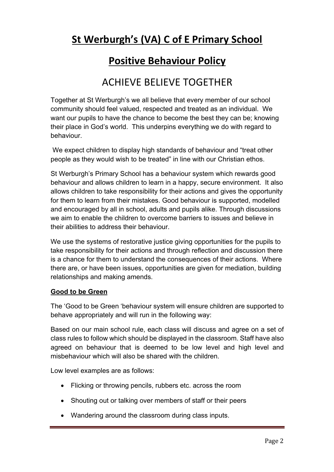# **St Werburgh's (VA) C of E Primary School**

### **Positive Behaviour Policy**

## ACHIEVE BELIEVE TOGETHER

Together at St Werburgh's we all believe that every member of our school community should feel valued, respected and treated as an individual. We want our pupils to have the chance to become the best they can be; knowing their place in God's world. This underpins everything we do with regard to behaviour.

We expect children to display high standards of behaviour and "treat other people as they would wish to be treated" in line with our Christian ethos.

St Werburgh's Primary School has a behaviour system which rewards good behaviour and allows children to learn in a happy, secure environment. It also allows children to take responsibility for their actions and gives the opportunity for them to learn from their mistakes. Good behaviour is supported, modelled and encouraged by all in school, adults and pupils alike. Through discussions we aim to enable the children to overcome barriers to issues and believe in their abilities to address their behaviour.

We use the systems of restorative justice giving opportunities for the pupils to take responsibility for their actions and through reflection and discussion there is a chance for them to understand the consequences of their actions. Where there are, or have been issues, opportunities are given for mediation, building relationships and making amends.

#### **Good to be Green**

The 'Good to be Green 'behaviour system will ensure children are supported to behave appropriately and will run in the following way:

Based on our main school rule, each class will discuss and agree on a set of class rules to follow which should be displayed in the classroom. Staff have also agreed on behaviour that is deemed to be low level and high level and misbehaviour which will also be shared with the children.

Low level examples are as follows:

- Flicking or throwing pencils, rubbers etc. across the room
- Shouting out or talking over members of staff or their peers
- Wandering around the classroom during class inputs.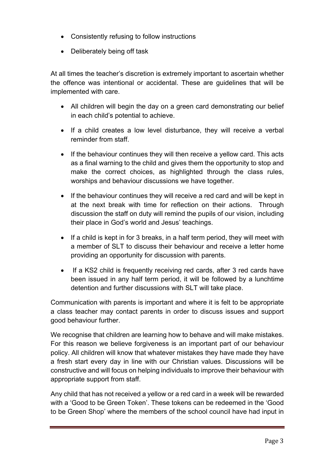- Consistently refusing to follow instructions
- Deliberately being off task

At all times the teacher's discretion is extremely important to ascertain whether the offence was intentional or accidental. These are guidelines that will be implemented with care.

- All children will begin the day on a green card demonstrating our belief in each child's potential to achieve.
- If a child creates a low level disturbance, they will receive a verbal reminder from staff.
- If the behaviour continues they will then receive a yellow card. This acts as a final warning to the child and gives them the opportunity to stop and make the correct choices, as highlighted through the class rules, worships and behaviour discussions we have together.
- If the behaviour continues they will receive a red card and will be kept in at the next break with time for reflection on their actions. Through discussion the staff on duty will remind the pupils of our vision, including their place in God's world and Jesus' teachings.
- If a child is kept in for 3 breaks, in a half term period, they will meet with a member of SLT to discuss their behaviour and receive a letter home providing an opportunity for discussion with parents.
- If a KS2 child is frequently receiving red cards, after 3 red cards have been issued in any half term period, it will be followed by a lunchtime detention and further discussions with SLT will take place.

Communication with parents is important and where it is felt to be appropriate a class teacher may contact parents in order to discuss issues and support good behaviour further.

We recognise that children are learning how to behave and will make mistakes. For this reason we believe forgiveness is an important part of our behaviour policy. All children will know that whatever mistakes they have made they have a fresh start every day in line with our Christian values. Discussions will be constructive and will focus on helping individuals to improve their behaviour with appropriate support from staff.

Any child that has not received a yellow or a red card in a week will be rewarded with a 'Good to be Green Token'. These tokens can be redeemed in the 'Good to be Green Shop' where the members of the school council have had input in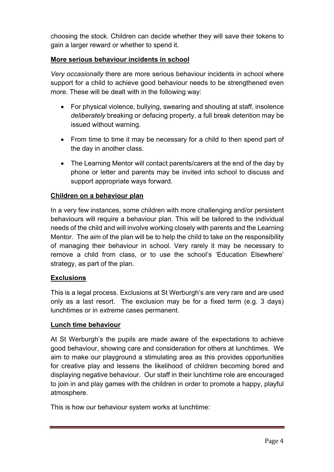choosing the stock. Children can decide whether they will save their tokens to gain a larger reward or whether to spend it.

#### **More serious behaviour incidents in school**

*Very occasionally* there are more serious behaviour incidents in school where support for a child to achieve good behaviour needs to be strengthened even more. These will be dealt with in the following way:

- For physical violence, bullying, swearing and shouting at staff, insolence *deliberately* breaking or defacing property, a full break detention may be issued without warning.
- From time to time it may be necessary for a child to then spend part of the day in another class.
- The Learning Mentor will contact parents/carers at the end of the day by phone or letter and parents may be invited into school to discuss and support appropriate ways forward.

#### **Children on a behaviour plan**

In a very few instances, some children with more challenging and/or persistent behaviours will require a behaviour plan. This will be tailored to the individual needs of the child and will involve working closely with parents and the Learning Mentor. The aim of the plan will be to help the child to take on the responsibility of managing their behaviour in school. Very rarely it may be necessary to remove a child from class, or to use the school's 'Education Elsewhere' strategy, as part of the plan.

#### **Exclusions**

This is a legal process. Exclusions at St Werburgh's are very rare and are used only as a last resort. The exclusion may be for a fixed term (e.g. 3 days) lunchtimes or in *extreme* cases permanent.

#### **Lunch time behaviour**

At St Werburgh's the pupils are made aware of the expectations to achieve good behaviour, showing care and consideration for others at lunchtimes. We aim to make our playground a stimulating area as this provides opportunities for creative play and lessens the likelihood of children becoming bored and displaying negative behaviour. Our staff in their lunchtime role are encouraged to join in and play games with the children in order to promote a happy, playful atmosphere.

This is how our behaviour system works at lunchtime: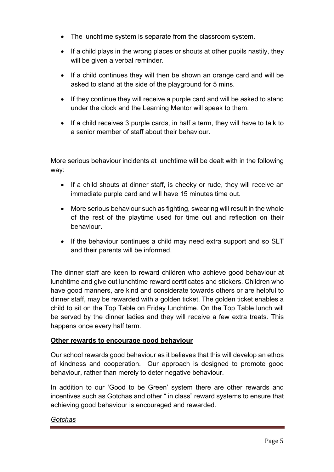- The lunchtime system is separate from the classroom system.
- If a child plays in the wrong places or shouts at other pupils nastily, they will be given a verbal reminder.
- If a child continues they will then be shown an orange card and will be asked to stand at the side of the playground for 5 mins.
- If they continue they will receive a purple card and will be asked to stand under the clock and the Learning Mentor will speak to them.
- If a child receives 3 purple cards, in half a term, they will have to talk to a senior member of staff about their behaviour.

More serious behaviour incidents at lunchtime will be dealt with in the following way:

- If a child shouts at dinner staff, is cheeky or rude, they will receive an immediate purple card and will have 15 minutes time out.
- More serious behaviour such as fighting, swearing will result in the whole of the rest of the playtime used for time out and reflection on their behaviour.
- If the behaviour continues a child may need extra support and so SLT and their parents will be informed.

The dinner staff are keen to reward children who achieve good behaviour at lunchtime and give out lunchtime reward certificates and stickers. Children who have good manners, are kind and considerate towards others or are helpful to dinner staff, may be rewarded with a golden ticket. The golden ticket enables a child to sit on the Top Table on Friday lunchtime. On the Top Table lunch will be served by the dinner ladies and they will receive a few extra treats. This happens once every half term.

#### **Other rewards to encourage good behaviour**

Our school rewards good behaviour as it believes that this will develop an ethos of kindness and cooperation. Our approach is designed to promote good behaviour, rather than merely to deter negative behaviour.

In addition to our 'Good to be Green' system there are other rewards and incentives such as Gotchas and other " in class" reward systems to ensure that achieving good behaviour is encouraged and rewarded.

#### *Gotchas*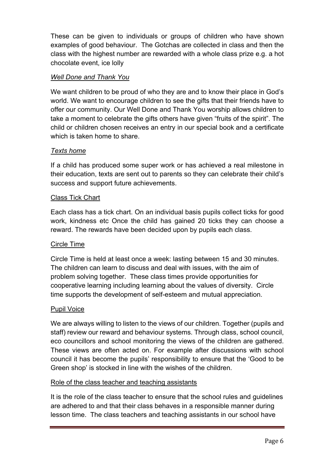These can be given to individuals or groups of children who have shown examples of good behaviour. The Gotchas are collected in class and then the class with the highest number are rewarded with a whole class prize e.g. a hot chocolate event, ice lolly

#### *Well Done and Thank You*

We want children to be proud of who they are and to know their place in God's world. We want to encourage children to see the gifts that their friends have to offer our community. Our Well Done and Thank You worship allows children to take a moment to celebrate the gifts others have given "fruits of the spirit". The child or children chosen receives an entry in our special book and a certificate which is taken home to share.

#### *Texts home*

If a child has produced some super work or has achieved a real milestone in their education, texts are sent out to parents so they can celebrate their child's success and support future achievements.

#### Class Tick Chart

Each class has a tick chart. On an individual basis pupils collect ticks for good work, kindness etc Once the child has gained 20 ticks they can choose a reward. The rewards have been decided upon by pupils each class.

#### Circle Time

Circle Time is held at least once a week: lasting between 15 and 30 minutes. The children can learn to discuss and deal with issues, with the aim of problem solving together. These class times provide opportunities for cooperative learning including learning about the values of diversity. Circle time supports the development of self-esteem and mutual appreciation.

#### Pupil Voice

We are always willing to listen to the views of our children. Together (pupils and staff) review our reward and behaviour systems. Through class, school council, eco councillors and school monitoring the views of the children are gathered. These views are often acted on. For example after discussions with school council it has become the pupils' responsibility to ensure that the 'Good to be Green shop' is stocked in line with the wishes of the children.

#### Role of the class teacher and teaching assistants

It is the role of the class teacher to ensure that the school rules and guidelines are adhered to and that their class behaves in a responsible manner during lesson time. The class teachers and teaching assistants in our school have